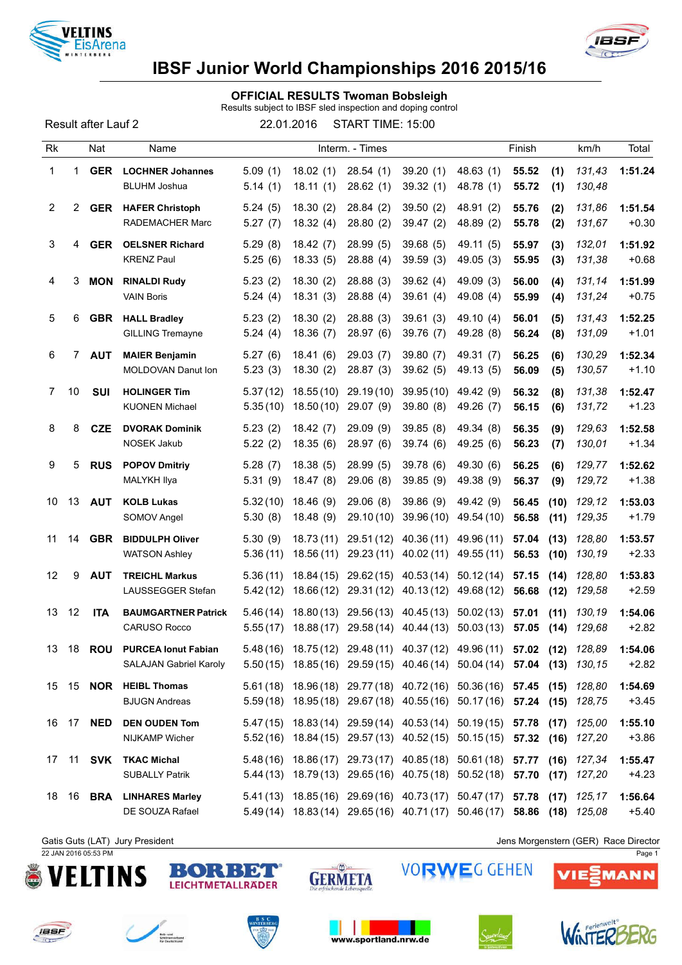



## IBSF Junior World Championships 2016 2015/16

### OFFICIAL RESULTS Twoman Bobsleigh

Results subject to IBSF sled inspection and doping control

Result after Lauf 2 22.01.2016 START TIME: 15:00

| Rk             |       | Nat        | Name                                                        |                      |                         | Interm. - Times          |                                                                                                                                                    |                          | Finish         |              | km/h             | Total              |
|----------------|-------|------------|-------------------------------------------------------------|----------------------|-------------------------|--------------------------|----------------------------------------------------------------------------------------------------------------------------------------------------|--------------------------|----------------|--------------|------------------|--------------------|
| 1              | 1     | <b>GER</b> | <b>LOCHNER Johannes</b><br><b>BLUHM Joshua</b>              | 5.09(1)<br>5.14(1)   | 18.02(1)<br>18.11(1)    | 28.54(1)<br>28.62(1)     | 39.20(1)<br>39.32(1)                                                                                                                               | 48.63 (1)<br>48.78 (1)   | 55.52<br>55.72 | (1)<br>(1)   | 131,43<br>130,48 | 1:51.24            |
| 2              | 2     | <b>GER</b> | <b>HAFER Christoph</b><br><b>RADEMACHER Marc</b>            | 5.24(5)<br>5.27(7)   | 18.30(2)<br>18.32(4)    | 28.84 (2)<br>28.80(2)    | 39.50(2)<br>39.47 (2)                                                                                                                              | 48.91 (2)<br>48.89 (2)   | 55.76<br>55.78 | (2)<br>(2)   | 131,86<br>131,67 | 1:51.54<br>$+0.30$ |
| 3              | 4     | <b>GER</b> | <b>OELSNER Richard</b><br><b>KRENZ Paul</b>                 | 5.29(8)<br>5.25(6)   | 18.42(7)<br>18.33(5)    | 28.99(5)<br>28.88(4)     | 39.68(5)<br>39.59(3)                                                                                                                               | 49.11 (5)<br>49.05 (3)   | 55.97<br>55.95 | (3)<br>(3)   | 132,01<br>131,38 | 1:51.92<br>$+0.68$ |
| 4              | 3     | <b>MON</b> | <b>RINALDI Rudy</b><br><b>VAIN Boris</b>                    | 5.23(2)<br>5.24(4)   | 18.30(2)<br>18.31(3)    | 28.88(3)<br>28.88(4)     | 39.62(4)<br>39.61(4)                                                                                                                               | 49.09 (3)<br>49.08 (4)   | 56.00<br>55.99 | (4)<br>(4)   | 131,14<br>131,24 | 1:51.99<br>$+0.75$ |
| 5              | 6     | <b>GBR</b> | <b>HALL Bradley</b><br><b>GILLING Tremayne</b>              | 5.23(2)<br>5.24(4)   | 18.30(2)<br>18.36(7)    | 28.88(3)<br>28.97 (6)    | 39.61(3)<br>39.76 (7)                                                                                                                              | 49.10 (4)<br>49.28 (8)   | 56.01<br>56.24 | (5)<br>(8)   | 131,43<br>131,09 | 1:52.25<br>$+1.01$ |
| 6              |       | 7 AUT      | <b>MAIER Benjamin</b><br>MOLDOVAN Danut Ion                 | 5.27(6)<br>5.23(3)   | 18.41(6)<br>18.30(2)    | 29.03(7)<br>28.87(3)     | 39.80 (7)<br>39.62(5)                                                                                                                              | 49.31 (7)<br>49.13 (5)   | 56.25<br>56.09 | (6)<br>(5)   | 130,29<br>130,57 | 1:52.34<br>$+1.10$ |
| $\overline{7}$ | 10    | <b>SUI</b> | <b>HOLINGER Tim</b><br><b>KUONEN Michael</b>                | 5.37(12)<br>5.35(10) | 18.55(10)<br>18.50(10)  | 29.19(10)<br>29.07 (9)   | 39.95(10)<br>39.80(8)                                                                                                                              | 49.42 (9)<br>49.26 (7)   | 56.32<br>56.15 | (8)<br>(6)   | 131,38<br>131,72 | 1:52.47<br>$+1.23$ |
| 8              | 8     | <b>CZE</b> | <b>DVORAK Dominik</b><br>NOSEK Jakub                        | 5.23(2)<br>5.22(2)   | 18.42(7)<br>18.35(6)    | 29.09(9)<br>28.97(6)     | 39.85(8)<br>39.74(6)                                                                                                                               | 49.34 (8)<br>49.25 (6)   | 56.35<br>56.23 | (9)<br>(7)   | 129,63<br>130,01 | 1:52.58<br>$+1.34$ |
| 9              | 5     | <b>RUS</b> | <b>POPOV Dmitriy</b><br>MALYKH Ilya                         | 5.28(7)<br>5.31(9)   | 18.38(5)<br>18.47(8)    | 28.99(5)<br>29.06(8)     | 39.78 (6)<br>39.85 (9)                                                                                                                             | 49.30 (6)<br>49.38 (9)   | 56.25<br>56.37 | (6)<br>(9)   | 129,77<br>129,72 | 1:52.62<br>$+1.38$ |
| 10             | 13    | <b>AUT</b> | <b>KOLB Lukas</b><br>SOMOV Angel                            | 5.32(10)<br>5.30(8)  | 18.46(9)<br>18.48 (9)   | 29.06(8)<br>29.10 (10)   | 39.86(9)<br>39.96(10)                                                                                                                              | 49.42 (9)<br>49.54 (10)  | 56.45<br>56.58 | (10)<br>(11) | 129,12<br>129,35 | 1:53.03<br>$+1.79$ |
| 11             | 14    | <b>GBR</b> | <b>BIDDULPH Oliver</b><br><b>WATSON Ashley</b>              | 5.30(9)<br>5.36(11)  | 18.73 (11)<br>18.56(11) | 29.51 (12)<br>29.23(11)  | 40.36 (11)<br>40.02(11)                                                                                                                            | 49.96 (11)<br>49.55 (11) | 57.04<br>56.53 | (13)<br>(10) | 128,80<br>130,19 | 1:53.57<br>$+2.33$ |
| 12             | 9     | <b>AUT</b> | <b>TREICHL Markus</b><br>LAUSSEGGER Stefan                  | 5.36(11)<br>5.42(12) | 18.84 (15)<br>18.66(12) | 29.62(15)                | 40.53 (14)<br>29.31 (12) 40.13 (12)                                                                                                                | 50.12(14)<br>49.68 (12)  | 57.15<br>56.68 | (14)<br>(12) | 128,80<br>129,58 | 1:53.83<br>$+2.59$ |
| 13             | 12    | <b>ITA</b> | <b>BAUMGARTNER Patrick</b><br>CARUSO Rocco                  | 5.46(14)<br>5.55(17) | 18.80(13)<br>18.88(17)  | 29.56 (13)<br>29.58 (14) | 40.45 (13)<br>40.44 (13)                                                                                                                           | 50.02(13)<br>50.03(13)   | 57.01<br>57.05 | (11)<br>(14) | 130,19<br>129,68 | 1:54.06<br>$+2.82$ |
| 13             | 18    | <b>ROU</b> | <b>PURCEA lonut Fabian</b><br><b>SALAJAN Gabriel Karoly</b> |                      |                         |                          | 5.48(16) 18.75(12) 29.48(11) 40.37(12) 49.96(11) 57.02 (12) 128,89<br>5.50 (15) 18.85 (16) 29.59 (15) 40.46 (14) 50.04 (14) 57.04 (13) 130,15      |                          |                |              |                  | 1:54.06<br>$+2.82$ |
|                |       |            | 15 15 NOR HEIBL Thomas<br><b>BJUGN Andreas</b>              |                      |                         |                          | 5.61 (18) 18.96 (18) 29.77 (18) 40.72 (16) 50.36 (16) 57.45 (15) 128,80<br>5.59(18) 18.95(18) 29.67(18) 40.55(16) 50.17(16) 57.24 (15) 128,75      |                          |                |              |                  | 1:54.69<br>$+3.45$ |
|                | 16 17 | <b>NED</b> | <b>DEN OUDEN Tom</b><br>NIJKAMP Wicher                      |                      |                         |                          | 5.47 (15) 18.83 (14) 29.59 (14) 40.53 (14) 50.19 (15) 57.78 (17) 125,00<br>5.52 (16) 18.84 (15) 29.57 (13) 40.52 (15) 50.15 (15) 57.32 (16) 127,20 |                          |                |              |                  | 1:55.10<br>$+3.86$ |
| 17             |       |            | 11 SVK TKAC Michal<br><b>SUBALLY Patrik</b>                 |                      |                         |                          | 5.48 (16) 18.86 (17) 29.73 (17) 40.85 (18) 50.61 (18) 57.77 (16) 127,34<br>5.44 (13) 18.79 (13) 29.65 (16) 40.75 (18) 50.52 (18) 57.70 (17) 127,20 |                          |                |              |                  | 1:55.47<br>$+4.23$ |
| 18             |       |            | 16 BRA LINHARES Marley<br>DE SOUZA Rafael                   |                      |                         |                          | 5.41 (13) 18.85 (16) 29.69 (16) 40.73 (17) 50.47 (17) 57.78 (17)<br>5.49 (14) 18.83 (14) 29.65 (16) 40.71 (17) 50.46 (17) 58.86 (18) 125,08        |                          |                |              | 125,17           | 1:56.64<br>$+5.40$ |

22 JAN 2016 05:53 PM Page 1







Gatis Guts (LAT) Jury President **Jens Morgenstern (GER)** Race Director













**VORWEG GEHEN** 

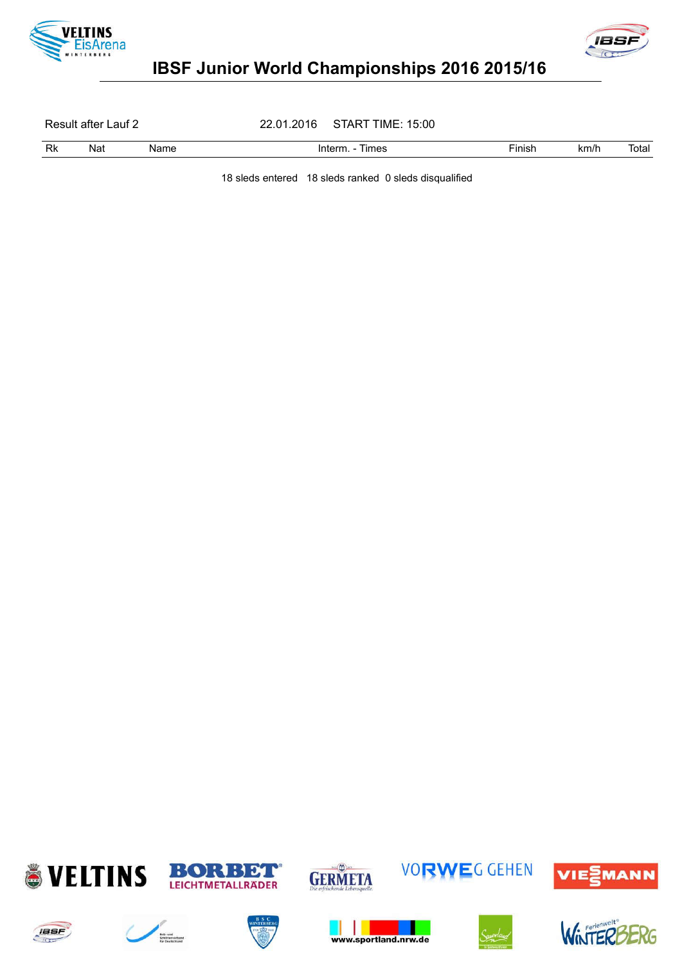



# IBSF Junior World Championships 2016 2015/16

Result after Lauf 2 22.01.2016 START TIME: 15:00

Rk Nat Name Interm. - Times Champel Prinish km/h Total

18 sleds entered 18 sleds ranked 0 sleds disqualified





















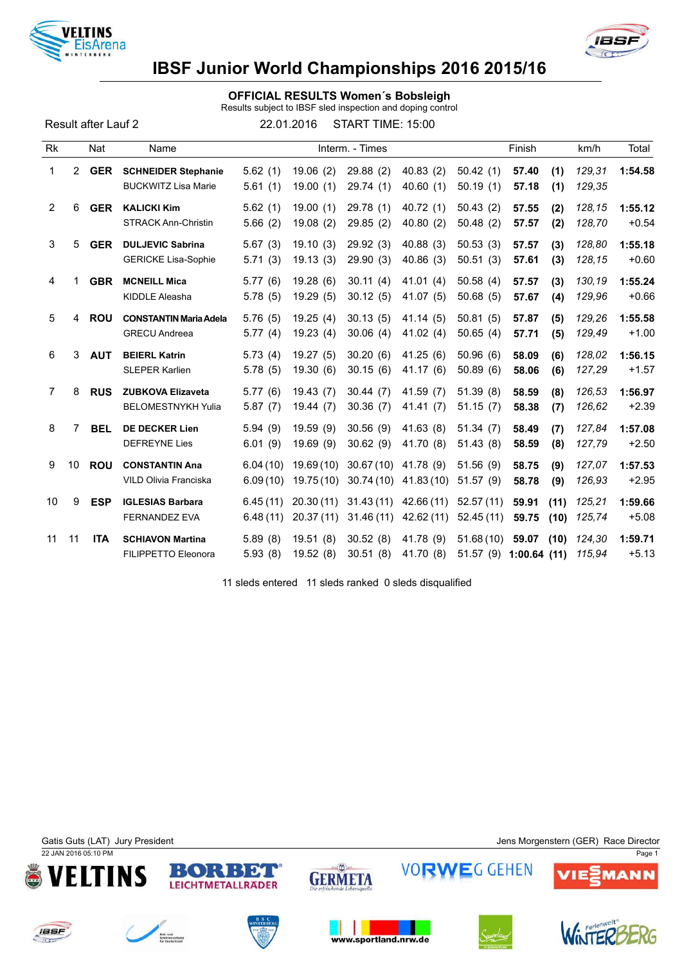



## IBSF Junior World Championships 2016 2015/16

### OFFICIAL RESULTS Women´s Bobsleigh

Results subject to IBSF sled inspection and doping control

Result after Lauf 2 22.01.2016 START TIME: 15:00

| <b>Rk</b>      |    | Nat        | Name                                                     |                      |                        | Interm. - Times                   |                        |                        | Finish                                  | km/h             | Total              |
|----------------|----|------------|----------------------------------------------------------|----------------------|------------------------|-----------------------------------|------------------------|------------------------|-----------------------------------------|------------------|--------------------|
| 1              |    | 2 GER      | <b>SCHNEIDER Stephanie</b><br><b>BUCKWITZ Lisa Marie</b> | 5.62(1)<br>5.61(1)   | 19.06(2)<br>19.00(1)   | 29.88(2)<br>29.74 (1)             | 40.83(2)<br>40.60(1)   | 50.42(1)<br>50.19(1)   | 57.40<br>(1)<br>57.18<br>(1)            | 129,31<br>129,35 | 1:54.58            |
| 2              | 6  | <b>GER</b> | <b>KALICKI Kim</b><br><b>STRACK Ann-Christin</b>         | 5.62(1)<br>5.66(2)   | 19.00(1)<br>19.08(2)   | 29.78 (1)<br>29.85(2)             | 40.72(1)<br>40.80(2)   | 50.43(2)<br>50.48(2)   | 57.55<br>(2)<br>(2)<br>57.57            | 128,15<br>128,70 | 1:55.12<br>$+0.54$ |
| 3              | 5  | <b>GER</b> | <b>DULJEVIC Sabrina</b><br><b>GERICKE Lisa-Sophie</b>    | 5.67(3)<br>5.71(3)   | 19.10(3)<br>19.13(3)   | 29.92(3)<br>29.90(3)              | 40.88(3)<br>40.86(3)   | 50.53(3)<br>50.51(3)   | 57.57<br>(3)<br>57.61<br>(3)            | 128,80<br>128,15 | 1:55.18<br>$+0.60$ |
| 4              |    | <b>GBR</b> | <b>MCNEILL Mica</b><br>KIDDLE Aleasha                    | 5.77(6)<br>5.78(5)   | 19.28(6)<br>19.29(5)   | 30.11(4)<br>30.12(5)              | 41.01(4)<br>41.07 (5)  | 50.58(4)<br>50.68(5)   | 57.57<br>(3)<br>57.67<br>(4)            | 130,19<br>129,96 | 1:55.24<br>$+0.66$ |
| 5              | 4  | <b>ROU</b> | <b>CONSTANTIN Maria Adela</b><br><b>GRECU Andreea</b>    | 5.76(5)<br>5.77(4)   | 19.25(4)<br>19.23(4)   | 30.13(5)<br>30.06(4)              | 41.14 (5)<br>41.02 (4) | 50.81(5)<br>50.65(4)   | 57.87<br>(5)<br>57.71<br>(5)            | 129,26<br>129,49 | 1:55.58<br>$+1.00$ |
| 6              | 3  | <b>AUT</b> | <b>BEIERL Katrin</b><br><b>SLEPER Karlien</b>            | 5.73(4)<br>5.78(5)   | 19.27(5)<br>19.30(6)   | 30.20(6)<br>30.15(6)              | 41.25(6)<br>41.17 (6)  | 50.96(6)<br>50.89(6)   | 58.09<br>(6)<br>58.06<br>(6)            | 128,02<br>127,29 | 1:56.15<br>$+1.57$ |
| $\overline{7}$ | 8  | <b>RUS</b> | <b>ZUBKOVA Elizaveta</b><br><b>BELOMESTNYKH Yulia</b>    | 5.77(6)<br>5.87(7)   | 19.43(7)<br>19.44(7)   | 30.44(7)<br>30.36(7)              | 41.59(7)<br>41.41 (7)  | 51.39(8)<br>51.15(7)   | 58.59<br>(8)<br>58.38<br>(7)            | 126,53<br>126,62 | 1:56.97<br>$+2.39$ |
| 8              | 7  | <b>BEL</b> | DE DECKER Lien<br><b>DEFREYNE Lies</b>                   | 5.94(9)<br>6.01(9)   | 19.59 (9)<br>19.69(9)  | 30.56(9)<br>30.62(9)              | 41.63(8)<br>41.70 (8)  | 51.34(7)<br>51.43(8)   | 58.49<br>(7)<br>58.59<br>(8)            | 127,84<br>127,79 | 1:57.08<br>$+2.50$ |
| 9              | 10 | <b>ROU</b> | <b>CONSTANTIN Ana</b><br>VILD Olivia Franciska           | 6.04(10)<br>6.09(10) | 19.69(10)<br>19.75(10) | 30.67 (10) 41.78 (9)<br>30.74(10) | 41.83(10)              | 51.56(9)<br>51.57(9)   | 58.75<br>(9)<br>(9)<br>58.78            | 127,07<br>126,93 | 1:57.53<br>$+2.95$ |
| 10             | 9  | <b>ESP</b> | <b>IGLESIAS Barbara</b><br><b>FERNANDEZ EVA</b>          | 6.45(11)<br>6.48(11) | 20.30(11)<br>20.37(11) | 31.43(11)<br>31.46(11)            | 42.66(11)<br>42.62(11) | 52.57(11)<br>52.45(11) | 59.91<br>(11)<br>59.75<br>(10)          | 125,21<br>125,74 | 1:59.66<br>$+5.08$ |
| 11             | 11 | <b>ITA</b> | <b>SCHIAVON Martina</b><br>FILIPPETTO Eleonora           | 5.89(8)<br>5.93(8)   | 19.51(8)<br>19.52(8)   | 30.52(8)<br>30.51(8)              | 41.78 (9)<br>41.70 (8) | 51.68(10)              | 59.07<br>(10)<br>51.57 (9) 1:00.64 (11) | 124,30<br>115,94 | 1:59.71<br>$+5.13$ |

11 sleds entered 11 sleds ranked 0 sleds disqualified

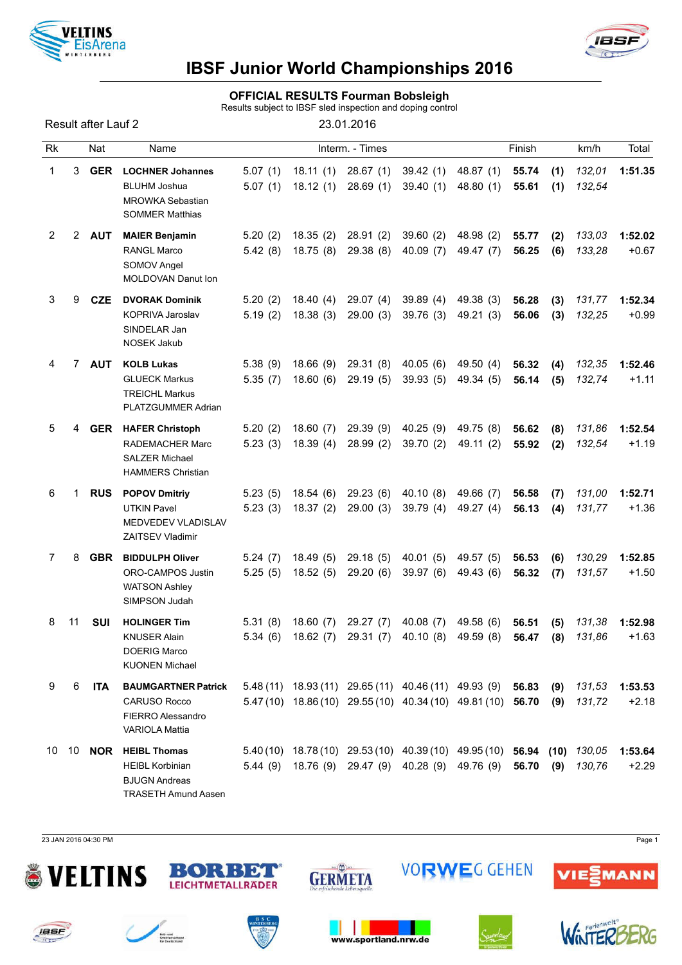



### OFFICIAL RESULTS Fourman Bobsleigh

Results subject to IBSF sled inspection and doping control

|                |                       | Result after Lauf 2 |                                                                                                     |                    |                      | 23.01.2016                                                |                       |                                                                                                                        |                |            |                  |                    |
|----------------|-----------------------|---------------------|-----------------------------------------------------------------------------------------------------|--------------------|----------------------|-----------------------------------------------------------|-----------------------|------------------------------------------------------------------------------------------------------------------------|----------------|------------|------------------|--------------------|
| <b>Rk</b>      |                       | Nat                 | Name                                                                                                |                    |                      | Interm. - Times                                           |                       |                                                                                                                        | Finish         |            | km/h             | Total              |
| 1              | 3.                    | <b>GER</b>          | <b>LOCHNER Johannes</b><br><b>BLUHM Joshua</b><br><b>MROWKA Sebastian</b><br><b>SOMMER Matthias</b> | 5.07(1)<br>5.07(1) | 18.11(1)<br>18.12(1) | 28.67(1)<br>28.69(1)                                      | 39.42(1)<br>39.40(1)  | 48.87 (1)<br>48.80 (1)                                                                                                 | 55.74<br>55.61 | (1)<br>(1) | 132,01<br>132,54 | 1:51.35            |
| $\overline{2}$ | $\mathbf{2}^{\prime}$ | <b>AUT</b>          | <b>MAIER Benjamin</b><br><b>RANGL Marco</b><br>SOMOV Angel<br><b>MOLDOVAN Danut Ion</b>             | 5.20(2)<br>5.42(8) | 18.35(2)<br>18.75(8) | 28.91(2)<br>29.38(8)                                      | 39.60(2)<br>40.09(7)  | 48.98 (2)<br>49.47 (7)                                                                                                 | 55.77<br>56.25 | (2)<br>(6) | 133,03<br>133,28 | 1:52.02<br>$+0.67$ |
| 3              | 9                     | <b>CZE</b>          | <b>DVORAK Dominik</b><br>KOPRIVA Jaroslav<br>SINDELAR Jan<br><b>NOSEK Jakub</b>                     | 5.20(2)<br>5.19(2) | 18.40(4)<br>18.38(3) | 29.07(4)<br>29.00(3)                                      | 39.89(4)<br>39.76(3)  | 49.38 (3)<br>49.21 (3)                                                                                                 | 56.28<br>56.06 | (3)<br>(3) | 131,77<br>132,25 | 1:52.34<br>$+0.99$ |
| 4              | 7                     | <b>AUT</b>          | <b>KOLB Lukas</b><br><b>GLUECK Markus</b><br><b>TREICHL Markus</b><br>PLATZGUMMER Adrian            | 5.38(9)<br>5.35(7) | 18.66(9)<br>18.60(6) | 29.31(8)<br>29.19(5)                                      | 40.05(6)<br>39.93(5)  | 49.50 (4)<br>49.34 (5)                                                                                                 | 56.32<br>56.14 | (4)<br>(5) | 132,35<br>132,74 | 1:52.46<br>$+1.11$ |
| 5              | 4                     | <b>GER</b>          | <b>HAFER Christoph</b><br>RADEMACHER Marc<br><b>SALZER Michael</b><br><b>HAMMERS Christian</b>      | 5.20(2)<br>5.23(3) | 18.60(7)<br>18.39(4) | 29.39(9)<br>28.99(2)                                      | 40.25(9)<br>39.70 (2) | 49.75 (8)<br>49.11 (2)                                                                                                 | 56.62<br>55.92 | (8)<br>(2) | 131,86<br>132,54 | 1:52.54<br>$+1.19$ |
| 6              | 1                     | <b>RUS</b>          | <b>POPOV Dmitriy</b><br><b>UTKIN Pavel</b><br>MEDVEDEV VLADISLAV<br>ZAITSEV Vladimir                | 5.23(5)<br>5.23(3) | 18.54(6)<br>18.37(2) | 29.23(6)<br>29.00(3)                                      | 40.10(8)<br>39.79 (4) | 49.66 (7)<br>49.27 (4)                                                                                                 | 56.58<br>56.13 | (7)<br>(4) | 131,00<br>131,77 | 1:52.71<br>$+1.36$ |
| 7              | 8                     | <b>GBR</b>          | <b>BIDDULPH Oliver</b><br>ORO-CAMPOS Justin<br><b>WATSON Ashley</b><br>SIMPSON Judah                | 5.24(7)<br>5.25(5) | 18.49(5)<br>18.52(5) | 29.18(5)<br>29.20(6)                                      | 40.01(5)<br>39.97(6)  | 49.57 (5)<br>49.43 (6)                                                                                                 | 56.53<br>56.32 | (6)<br>(7) | 130,29<br>131,57 | 1:52.85<br>$+1.50$ |
| 8              | 11                    | SUI                 | <b>HOLINGER Tim</b><br><b>KNUSER Alain</b><br><b>DOERIG Marco</b><br><b>KUONEN Michael</b>          | 5.31(8)            |                      | 18.60 (7) 29.27 (7)                                       | 40.08 (7)             | 49.58 (6)<br>5.34 (6) 18.62 (7) 29.31 (7) 40.10 (8) 49.59 (8) 56.47 (8) 131,86                                         | 56.51          | (5)        | 131,38           | 1:52.98<br>$+1.63$ |
| 9              | 6                     | ITA                 | <b>BAUMGARTNER Patrick</b><br><b>CARUSO Rocco</b><br><b>FIERRO Alessandro</b><br>VARIOLA Mattia     |                    |                      | $5.48(11)$ $18.93(11)$ $29.65(11)$ $40.46(11)$ $49.93(9)$ |                       | 5.47 (10) 18.86 (10) 29.55 (10) 40.34 (10) 49.81 (10) 56.70                                                            | 56.83          | (9)<br>(9) | 131,53<br>131,72 | 1:53.53<br>$+2.18$ |
| 10             |                       | 10 <b>NOR</b>       | <b>HEIBL Thomas</b><br><b>HEIBL Korbinian</b><br><b>BJUGN Andreas</b><br><b>TRASETH Amund Aasen</b> |                    |                      |                                                           |                       | 5.40(10) 18.78(10) 29.53(10) 40.39(10) 49.95(10) 56.94 (10) 130,05<br>5.44 (9) 18.76 (9) 29.47 (9) 40.28 (9) 49.76 (9) | 56.70          | (9)        | 130,76           | 1:53.64<br>$+2.29$ |

23 JAN 2016 04:30 PM Page 1

**IBSF** 

**for** 

















**VORWEG GEHEN** 

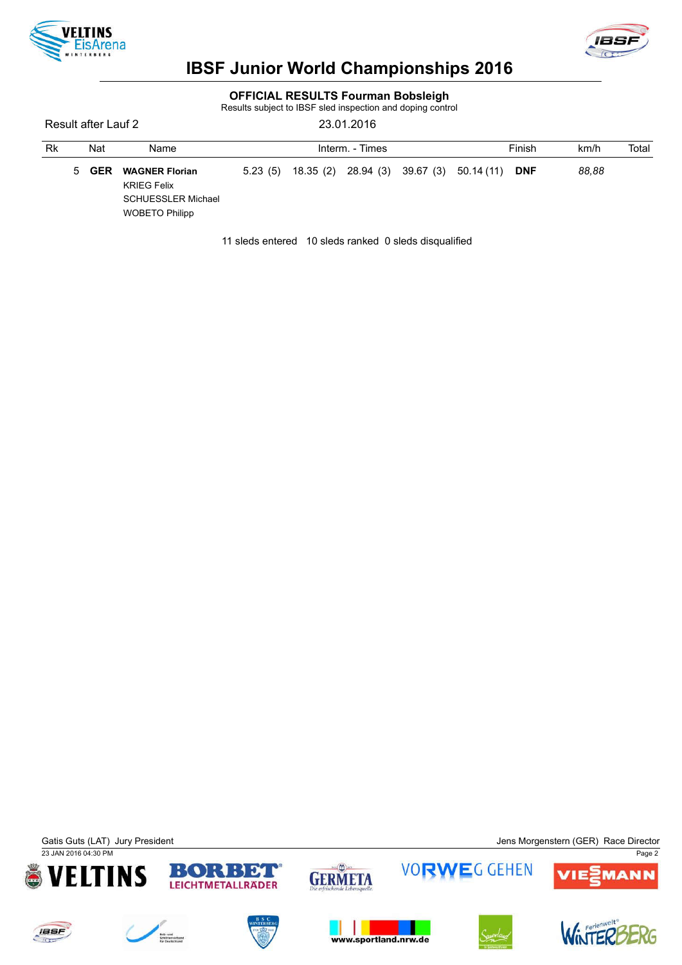



### OFFICIAL RESULTS Fourman Bobsleigh

Results subject to IBSF sled inspection and doping control

Result after Lauf 2 23.01.2016

| Rk |   | Nat        | Name                                                                                              | Interm. - Times |           |  |  |                                |            | km/h  | Total |
|----|---|------------|---------------------------------------------------------------------------------------------------|-----------------|-----------|--|--|--------------------------------|------------|-------|-------|
|    | 5 | <b>GER</b> | <b>WAGNER Florian</b><br><b>KRIEG Felix</b><br><b>SCHUESSLER Michael</b><br><b>WOBETO Philipp</b> | 5.23(5)         | 18.35 (2) |  |  | 28.94 (3) 39.67 (3) 50.14 (11) | <b>DNF</b> | 88.88 |       |

11 sleds entered 10 sleds ranked 0 sleds disqualified

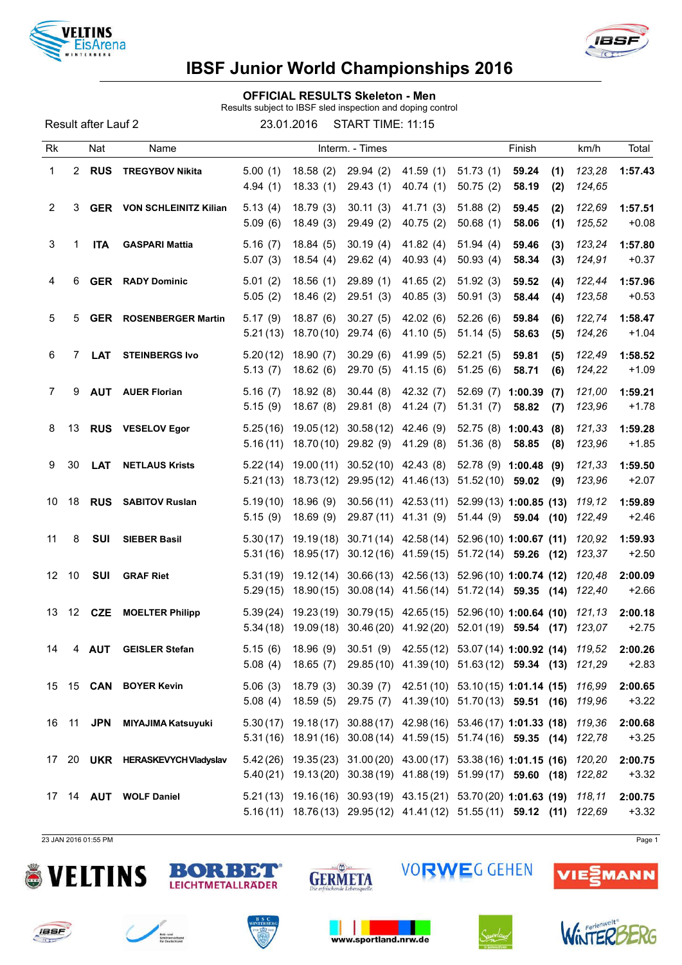



OFFICIAL RESULTS Skeleton - Men

Results subject to IBSF sled inspection and doping control

Result after Lauf 2 23.01.2016 START TIME: 11:15

| <b>Rk</b>       |                | Nat           | Name                             |                      |                          | Interm. - Times       |                         |                                       | Finish                                                                                                                                               | km/h             | Total              |
|-----------------|----------------|---------------|----------------------------------|----------------------|--------------------------|-----------------------|-------------------------|---------------------------------------|------------------------------------------------------------------------------------------------------------------------------------------------------|------------------|--------------------|
| 1               | $\overline{2}$ | <b>RUS</b>    | <b>TREGYBOV Nikita</b>           | 5.00(1)<br>4.94(1)   | 18.58(2)<br>18.33(1)     | 29.94(2)<br>29.43(1)  | 41.59 (1)<br>40.74(1)   | 51.73(1)<br>50.75(2)                  | 59.24<br>(1)<br>58.19<br>(2)                                                                                                                         | 123,28<br>124,65 | 1:57.43            |
| $\overline{2}$  | 3              |               | <b>GER</b> VON SCHLEINITZ Kilian | 5.13(4)<br>5.09(6)   | 18.79(3)<br>18.49(3)     | 30.11(3)<br>29.49 (2) | 41.71(3)<br>40.75 (2)   | 51.88(2)<br>50.68(1)                  | 59.45<br>(2)<br>58.06<br>(1)                                                                                                                         | 122,69<br>125,52 | 1:57.51<br>$+0.08$ |
| 3               | 1              | <b>ITA</b>    | <b>GASPARI Mattia</b>            | 5.16(7)<br>5.07(3)   | 18.84(5)<br>18.54(4)     | 30.19(4)<br>29.62(4)  | 41.82 $(4)$<br>40.93(4) | 51.94(4)<br>50.93(4)                  | 59.46<br>(3)<br>58.34<br>(3)                                                                                                                         | 123,24<br>124,91 | 1:57.80<br>$+0.37$ |
| 4               | 6              |               | <b>GER</b> RADY Dominic          | 5.01(2)<br>5.05(2)   | 18.56(1)<br>18.46(2)     | 29.89(1)<br>29.51(3)  | 41.65(2)<br>40.85 (3)   | 51.92(3)<br>50.91(3)                  | 59.52<br>(4)<br>58.44<br>(4)                                                                                                                         | 122,44<br>123,58 | 1:57.96<br>$+0.53$ |
| 5               | 5              |               | <b>GER</b> ROSENBERGER Martin    | 5.17(9)<br>5.21(13)  | 18.87(6)<br>18.70(10)    | 30.27(5)<br>29.74 (6) | 42.02(6)<br>41.10 (5)   | 52.26(6)<br>51.14(5)                  | 59.84<br>(6)<br>58.63<br>(5)                                                                                                                         | 122,74<br>124,26 | 1:58.47<br>$+1.04$ |
| 6               | 7.             | <b>LAT</b>    | <b>STEINBERGS Ivo</b>            | 5.20(12)<br>5.13(7)  | 18.90(7)<br>18.62(6)     | 30.29(6)<br>29.70 (5) | 41.99 (5)<br>41.15(6)   | 52.21(5)<br>51.25(6)                  | 59.81<br>(5)<br>58.71<br>(6)                                                                                                                         | 122,49<br>124,22 | 1:58.52<br>$+1.09$ |
| $\overline{7}$  | 9              | <b>AUT</b>    | <b>AUER Florian</b>              | 5.16(7)<br>5.15(9)   | 18.92(8)<br>18.67(8)     | 30.44(8)<br>29.81 (8) | 42.32 (7)<br>41.24(7)   | 52.69(7)<br>51.31(7)                  | 1:00.39<br>(7)<br>58.82<br>(7)                                                                                                                       | 121,00<br>123,96 | 1:59.21<br>$+1.78$ |
| 8               | 13             |               | <b>RUS</b> VESELOV Egor          | 5.25(16)<br>5.16(11) | 19.05(12)<br>18.70 (10)  | 30.58(12)<br>29.82(9) | 42.46 (9)<br>41.29 (8)  | 52.75(8)<br>51.36(8)                  | 1:00.43<br>(8)<br>58.85<br>(8)                                                                                                                       | 121,33<br>123,96 | 1:59.28<br>$+1.85$ |
| 9               | 30             | <b>LAT</b>    | <b>NETLAUS Krists</b>            | 5.22(14)<br>5.21(13) | 19.00 (11)<br>18.73 (12) | 30.52 (10) 42.43 (8)  | 29.95 (12) 41.46 (13)   | 52.78 (9) 1:00.48<br>51.52 (10) 59.02 | (9)<br>(9)                                                                                                                                           | 121,33<br>123,96 | 1:59.50<br>$+2.07$ |
| 10              | 18             |               | <b>RUS</b> SABITOV Ruslan        | 5.19(10)<br>5.15(9)  | 18.96(9)<br>18.69(9)     |                       | 29.87 (11) 41.31 (9)    | 51.44 (9)                             | 30.56 (11) 42.53 (11) 52.99 (13) 1:00.85 (13)<br>59.04 (10)                                                                                          | 119,12<br>122,49 | 1:59.89<br>$+2.46$ |
| 11              | 8              | <b>SUI</b>    | <b>SIEBER Basil</b>              | 5.30(17)<br>5.31(16) | 19.19 (18)<br>18.95(17)  |                       |                         |                                       | $30.71(14)$ 42.58 (14) 52.96 (10) 1:00.67 (11)<br>30.12(16) 41.59(15) 51.72(14) 59.26 (12)                                                           | 120,92<br>123,37 | 1:59.93<br>$+2.50$ |
| 12 <sup>°</sup> | 10             | SUI           | <b>GRAF Riet</b>                 | 5.31(19)<br>5.29(15) | 19.12 (14)<br>18.90 (15) |                       | $30.08(14)$ 41.56(14)   |                                       | 30.66 (13) 42.56 (13) 52.96 (10) 1:00.74 (12)<br>$51.72(14)$ 59.35 (14)                                                                              | 120,48<br>122,40 | 2:00.09<br>$+2.66$ |
| 13              |                | 12 <b>CZE</b> | <b>MOELTER Philipp</b>           | 5.39(24)<br>5.34(18) |                          |                       |                         |                                       | 19.23 (19) 30.79 (15) 42.65 (15) 52.96 (10) 1:00.64 (10)<br>19.09 (18) 30.46 (20) 41.92 (20) 52.01 (19) 59.54 (17) 123,07                            | 121,13           | 2:00.18<br>$+2.75$ |
| 14              |                | 4 AUT         | <b>GEISLER Stefan</b>            |                      |                          |                       |                         |                                       | 5.15 (6) 18.96 (9) 30.51 (9) 42.55 (12) 53.07 (14) 1:00.92 (14) 119,52<br>5.08 (4) 18.65 (7) 29.85 (10) 41.39 (10) 51.63 (12) 59.34 (13) 121,29      |                  | 2:00.26<br>$+2.83$ |
|                 |                |               | 15 15 CAN BOYER Kevin            |                      |                          |                       |                         |                                       | 5.06 (3) 18.79 (3) 30.39 (7) 42.51 (10) 53.10 (15) 1:01.14 (15) 116,99<br>5.08 (4) 18.59 (5) 29.75 (7) 41.39 (10) 51.70 (13) 59.51 (16) 119,96       |                  | 2:00.65<br>$+3.22$ |
|                 |                | 16 11 JPN     | <b>MIYAJIMA Katsuyuki</b>        |                      |                          |                       |                         |                                       | 5.30(17) 19.18(17) 30.88(17) 42.98(16) 53.46(17) 1:01.33 (18) 119.36<br>5.31(16) 18.91(16) 30.08(14) 41.59(15) 51.74(16) 59.35 (14) 122,78           |                  | 2:00.68<br>$+3.25$ |
|                 |                |               | 17 20 UKR HERASKEVYCH Vladyslav  |                      |                          |                       |                         |                                       | 5.42 (26) 19.35 (23) 31.00 (20) 43.00 (17) 53.38 (16) 1:01.15 (16) 120,20<br>5.40 (21) 19.13 (20) 30.38 (19) 41.88 (19) 51.99 (17) 59.60 (18) 122,82 |                  | 2:00.75<br>$+3.32$ |
|                 |                |               | 17 14 AUT WOLF Daniel            |                      |                          |                       |                         |                                       | 5.21 (13) 19.16 (16) 30.93 (19) 43.15 (21) 53.70 (20) 1:01.63 (19) 118,11<br>5.16 (11) 18.76 (13) 29.95 (12) 41.41 (12) 51.55 (11) 59.12 (11) 122,69 |                  | 2:00.75<br>$+3.32$ |

23 JAN 2016 01:55 PM Page 1









**/IE号MANN** 













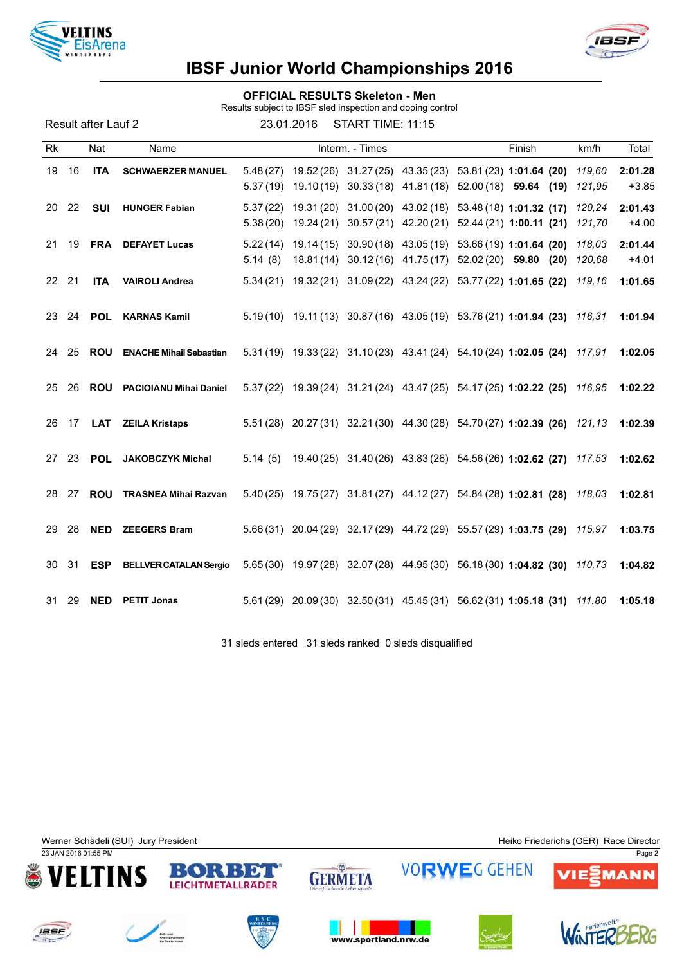



### OFFICIAL RESULTS Skeleton - Men

Results subject to IBSF sled inspection and doping control

Result after Lauf 2 23.01.2016 START TIME: 11:15

| Rk        |       | Nat           | Name                           |                      |           | Interm. - Times |  | Finish                                                                                                                       | km/h             | Total              |
|-----------|-------|---------------|--------------------------------|----------------------|-----------|-----------------|--|------------------------------------------------------------------------------------------------------------------------------|------------------|--------------------|
| 19        | 16    | <b>ITA</b>    | <b>SCHWAERZER MANUEL</b>       | 5.37(19)             |           |                 |  | 5.48 (27) 19.52 (26) 31.27 (25) 43.35 (23) 53.81 (23) 1:01.64 (20)<br>19.10 (19) 30.33 (18) 41.81 (18) 52.00 (18) 59.64 (19) | 119,60<br>121,95 | 2:01.28<br>$+3.85$ |
| <b>20</b> | 22    | <b>SUI</b>    | <b>HUNGER Fabian</b>           | 5.37(22)<br>5.38(20) | 19.24(21) |                 |  | 19.31 (20) 31.00 (20) 43.02 (18) 53.48 (18) 1:01.32 (17)<br>30.57 (21) 42.20 (21) 52.44 (21) 1:00.11 (21)                    | 120.24<br>121,70 | 2:01.43<br>$+4.00$ |
| 21        |       | 19 <b>FRA</b> | <b>DEFAYET Lucas</b>           | 5.14(8)              |           |                 |  | 5.22 (14) 19.14 (15) 30.90 (18) 43.05 (19) 53.66 (19) 1:01.64 (20)<br>18.81 (14) 30.12 (16) 41.75 (17) 52.02 (20) 59.80 (20) | 118,03<br>120,68 | 2:01.44<br>$+4.01$ |
| 22 21     |       | <b>ITA</b>    | <b>VAIROLI Andrea</b>          |                      |           |                 |  | 5.34 (21) 19.32 (21) 31.09 (22) 43.24 (22) 53.77 (22) 1:01.65 (22)                                                           | 119.16           | 1:01.65            |
| 23        | 24    | POL           | <b>KARNAS Kamil</b>            |                      |           |                 |  | 5.19(10) 19.11(13) 30.87(16) 43.05(19) 53.76(21) 1:01.94 (23) 116,31                                                         |                  | 1:01.94            |
| 24        | 25    | <b>ROU</b>    | <b>ENACHE Mihail Sebastian</b> |                      |           |                 |  | 5.31 (19) 19.33 (22) 31.10 (23) 43.41 (24) 54.10 (24) 1:02.05 (24) 117,91                                                    |                  | 1:02.05            |
| 25        | 26    | <b>ROU</b>    | <b>PACIOIANU Mihai Daniel</b>  |                      |           |                 |  | 5.37 (22) 19.39 (24) 31.21 (24) 43.47 (25) 54.17 (25) 1:02.22 (25) 116,95                                                    |                  | 1:02.22            |
| 26        |       | 17 <b>LAT</b> | <b>ZEILA Kristaps</b>          |                      |           |                 |  | 5.51 (28) 20.27 (31) 32.21 (30) 44.30 (28) 54.70 (27) 1:02.39 (26) 121,13                                                    |                  | 1:02.39            |
|           | 27 23 | <b>POL</b>    | <b>JAKOBCZYK Michal</b>        |                      |           |                 |  | 5.14 (5) 19.40 (25) 31.40 (26) 43.83 (26) 54.56 (26) 1:02.62 (27) 117,53                                                     |                  | 1:02.62            |
| 28        | 27    | <b>ROU</b>    | <b>TRASNEA Mihai Razvan</b>    |                      |           |                 |  | 5.40 (25) 19.75 (27) 31.81 (27) 44.12 (27) 54.84 (28) 1:02.81 (28) 118,03                                                    |                  | 1:02.81            |
| 29        | 28    | <b>NED</b>    | <b>ZEEGERS Bram</b>            |                      |           |                 |  | 5.66(31) 20.04(29) 32.17(29) 44.72(29) 55.57(29) 1:03.75 (29) 115,97                                                         |                  | 1:03.75            |
| 30        | 31    | <b>ESP</b>    | <b>BELLVER CATALAN Sergio</b>  |                      |           |                 |  | 5.65(30) 19.97(28) 32.07(28) 44.95(30) 56.18(30) 1:04.82 (30) 110,73                                                         |                  | 1:04.82            |
|           | 31 29 | <b>NED</b>    | <b>PETIT Jonas</b>             |                      |           |                 |  | 5.61 (29) 20.09 (30) 32.50 (31) 45.45 (31) 56.62 (31) 1:05.18 (31) 111,80                                                    |                  | 1:05.18            |

31 sleds entered 31 sleds ranked 0 sleds disqualified

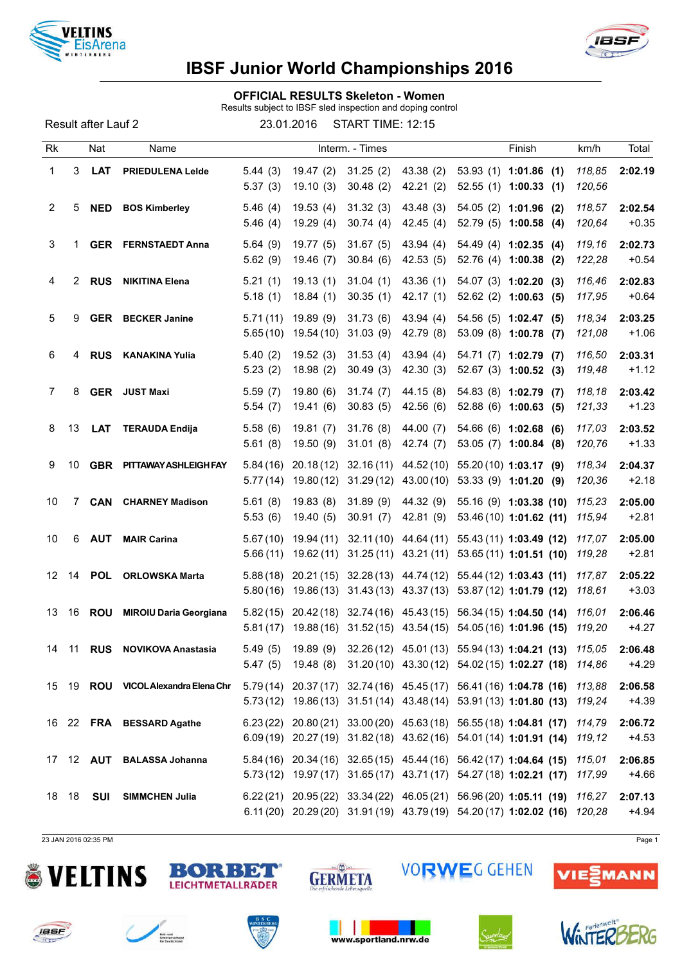



### OFFICIAL RESULTS Skeleton - Women

Results subject to IBSF sled inspection and doping control

Result after Lauf 2 23.01.2016 START TIME: 12:15

| Rk              |    | Nat        | Name                                |                      |                                     | Interm. - Times      |                                                |                   | Finish                                                                                                                                               | km/h             | Total              |
|-----------------|----|------------|-------------------------------------|----------------------|-------------------------------------|----------------------|------------------------------------------------|-------------------|------------------------------------------------------------------------------------------------------------------------------------------------------|------------------|--------------------|
| 1               | 3  | <b>LAT</b> | <b>PRIEDULENA Leide</b>             | 5.44(3)<br>5.37(3)   | 19.47(2)<br>19.10(3)                | 31.25(2)<br>30.48(2) | 43.38(2)<br>42.21(2)                           |                   | $53.93(1)$ 1:01.86 (1)<br>$52.55(1)$ 1:00.33 (1)                                                                                                     | 118,85<br>120,56 | 2:02.19            |
| 2               | 5. | <b>NED</b> | <b>BOS Kimberley</b>                | 5.46(4)<br>5.46(4)   | 19.53(4)<br>19.29(4)                | 31.32(3)<br>30.74(4) | 43.48(3)<br>42.45(4)                           |                   | $54.05(2)$ 1:01.96 (2)<br>52.79 (5) 1:00.58 (4)                                                                                                      | 118,57<br>120,64 | 2:02.54<br>$+0.35$ |
| 3               | 1. |            | <b>GER</b> FERNSTAEDT Anna          | 5.64(9)<br>5.62(9)   | 19.77(5)<br>19.46 (7)               | 31.67(5)<br>30.84(6) | 43.94(4)<br>42.53(5)                           |                   | 54.49 (4) 1:02.35 (4)<br>52.76 (4) 1:00.38 (2)                                                                                                       | 119,16<br>122,28 | 2:02.73<br>$+0.54$ |
| 4               | 2  | <b>RUS</b> | <b>NIKITINA Elena</b>               | 5.21(1)<br>5.18(1)   | 19.13(1)<br>18.84(1)                | 31.04(1)<br>30.35(1) | 43.36 (1)<br>42.17(1)                          | 54.07 (3) 1:02.20 | (3)<br>$52.62$ (2) 1:00.63 (5)                                                                                                                       | 116,46<br>117,95 | 2:02.83<br>$+0.64$ |
| 5               | 9  |            | <b>GER</b> BECKER Janine            | 5.71(11)<br>5.65(10) | 19.89(9)<br>19.54 (10)              | 31.73(6)<br>31.03(9) | 43.94(4)<br>42.79 (8)                          |                   | 54.56 (5) 1:02.47 (5)<br>53.09 (8) 1:00.78 (7)                                                                                                       | 118,34<br>121,08 | 2:03.25<br>$+1.06$ |
| 6               | 4  | <b>RUS</b> | <b>KANAKINA Yulia</b>               | 5.40(2)<br>5.23(2)   | 19.52(3)<br>18.98(2)                | 31.53(4)<br>30.49(3) | 43.94 (4)<br>42.30(3)                          |                   | 54.71 (7) 1:02.79 (7)<br>52.67 (3) 1:00.52 (3)                                                                                                       | 116,50<br>119,48 | 2:03.31<br>$+1.12$ |
| $\overline{7}$  | 8  |            | <b>GER</b> JUST Maxi                | 5.59(7)<br>5.54(7)   | 19.80(6)<br>19.41(6)                | 31.74(7)<br>30.83(5) | 44.15 (8)<br>42.56(6)                          |                   | 54.83 (8) 1:02.79 (7)<br>$52.88(6)$ 1:00.63 (5)                                                                                                      | 118,18<br>121,33 | 2:03.42<br>$+1.23$ |
| 8               | 13 | <b>LAT</b> | <b>TERAUDA Endija</b>               | 5.58(6)<br>5.61(8)   | 19.81(7)<br>19.50(9)                | 31.76(8)<br>31.01(8) | 44.00 (7)<br>42.74 (7)                         | 54.66 (6) 1:02.68 | (6)<br>53.05 (7) 1:00.84 (8)                                                                                                                         | 117,03<br>120,76 | 2:03.52<br>$+1.33$ |
| 9               | 10 |            | <b>GBR PITTAWAY ASHLEIGH FAY</b>    | 5.84(16)<br>5.77(14) | 20.18(12)<br>19.80(12)              | 32.16(11)            | 44.52 (10)<br>$31.29(12)$ 43.00 (10)           |                   | $55.20(10)$ 1:03.17 (9)<br>$53.33(9)$ 1:01.20 (9)                                                                                                    | 118,34<br>120,36 | 2:04.37<br>$+2.18$ |
| 10              | 7  | <b>CAN</b> | <b>CHARNEY Madison</b>              | 5.61(8)<br>5.53(6)   | 19.83(8)<br>19.40(5)                | 31.89(9)<br>30.91(7) | 44.32 (9)<br>42.81 (9)                         |                   | 55.16 (9) 1:03.38 (10)<br>53.46 (10) 1:01.62 (11)                                                                                                    | 115,23<br>115,94 | 2:05.00<br>$+2.81$ |
| 10              | 6  | <b>AUT</b> | <b>MAIR Carina</b>                  | 5.66(11)             | $5.67(10)$ 19.94 (11)<br>19.62 (11) |                      |                                                |                   | 32.11 (10) 44.64 (11) 55.43 (11) 1:03.49 (12)<br>31.25 (11) 43.21 (11) 53.65 (11) 1:01.51 (10)                                                       | 117,07<br>119,28 | 2:05.00<br>$+2.81$ |
| 12 <sup>°</sup> | 14 | <b>POL</b> | <b>ORLOWSKA Marta</b>               | 5.88(18)<br>5.80(16) |                                     |                      | 19.86 (13) 31.43 (13) 43.37 (13)               |                   | 20.21 (15) 32.28 (13) 44.74 (12) 55.44 (12) 1:03.43 (11)<br>53.87 (12) 1:01.79 (12)                                                                  | 117,87<br>118,61 | 2:05.22<br>$+3.03$ |
| 13              | 16 | <b>ROU</b> | <b>MIROIU Daria Georgiana</b>       |                      |                                     |                      | $5.81(17)$ $19.88(16)$ $31.52(15)$ $43.54(15)$ |                   | 5.82(15) 20.42(18) 32.74(16) 45.43(15) 56.34(15) 1:04.50 (14)<br>54.05 (16) 1:01.96 (15)                                                             | 116,01<br>119,20 | 2:06.46<br>$+4.27$ |
| 14              | 11 | <b>RUS</b> | <b>NOVIKOVA Anastasia</b>           | 5.49(5)              |                                     |                      |                                                |                   | 19.89 (9) 32.26 (12) 45.01 (13) 55.94 (13) 1:04.21 (13) 115,05<br>5.47 (5) 19.48 (8) 31.20 (10) 43.30 (12) 54.02 (15) 1:02.27 (18) 114,86            |                  | 2:06.48<br>$+4.29$ |
|                 |    |            | 15 19 ROU VICOL Alexandra Elena Chr |                      |                                     |                      |                                                |                   | 5.79(14) 20.37(17) 32.74(16) 45.45(17) 56.41(16) 1:04.78 (16)<br>5.73 (12) 19.86 (13) 31.51 (14) 43.48 (14) 53.91 (13) 1:01.80 (13)                  | 113,88<br>119,24 | 2:06.58<br>$+4.39$ |
|                 |    |            | 16 22 FRA BESSARD Agathe            |                      |                                     |                      |                                                |                   | $6.23(22)$ $20.80(21)$ $33.00(20)$ $45.63(18)$ $56.55(18)$ 1:04.81 (17)<br>6.09 (19) 20.27 (19) 31.82 (18) 43.62 (16) 54.01 (14) 1:01.91 (14)        | 114,79<br>119,12 | 2:06.72<br>$+4.53$ |
|                 |    |            | 17 12 AUT BALASSA Johanna           |                      |                                     |                      |                                                |                   | 5.84 (16) 20.34 (16) 32.65 (15) 45.44 (16) 56.42 (17) 1:04.64 (15)<br>5.73 (12) 19.97 (17) 31.65 (17) 43.71 (17) 54.27 (18) 1:02.21 (17)             | 115,01<br>117,99 | 2:06.85<br>$+4.66$ |
| 18 18           |    | SUI        | <b>SIMMCHEN Julia</b>               |                      |                                     |                      |                                                |                   | $6.22(21)$ $20.95(22)$ $33.34(22)$ $46.05(21)$ $56.96(20)$ 1:05.11 (19)<br>6.11 (20) 20.29 (20) 31.91 (19) 43.79 (19) 54.20 (17) 1:02.02 (16) 120,28 | 116,27           | 2:07.13<br>$+4.94$ |

23 JAN 2016 02:35 PM Page 1